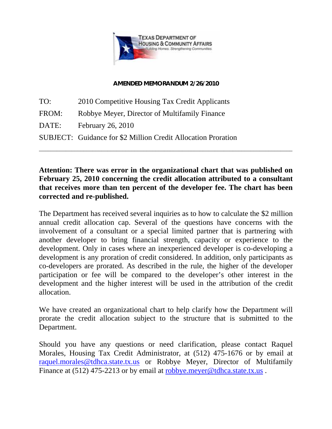

## **AMENDED MEMORANDUM 2/26/2010**

TO: 2010 Competitive Housing Tax Credit Applicants FROM: Robbye Meyer, Director of Multifamily Finance DATE: February 26, 2010 SUBJECT: Guidance for \$2 Million Credit Allocation Proration

## **Attention: There was error in the organizational chart that was published on February 25, 2010 concerning the credit allocation attributed to a consultant that receives more than ten percent of the developer fee. The chart has been corrected and re-published.**

\_\_\_\_\_\_\_\_\_\_\_\_\_\_\_\_\_\_\_\_\_\_\_\_\_\_\_\_\_\_\_\_\_\_\_\_\_\_\_\_\_\_\_\_\_\_\_\_\_\_\_\_\_\_\_\_\_\_\_\_\_\_\_\_\_\_\_\_\_\_\_\_\_\_\_\_\_\_\_\_\_\_\_\_\_

The Department has received several inquiries as to how to calculate the \$2 million annual credit allocation cap. Several of the questions have concerns with the involvement of a consultant or a special limited partner that is partnering with another developer to bring financial strength, capacity or experience to the development. Only in cases where an inexperienced developer is co-developing a development is any proration of credit considered. In addition, only participants as co-developers are prorated. As described in the rule, the higher of the developer participation or fee will be compared to the developer's other interest in the development and the higher interest will be used in the attribution of the credit allocation.

We have created an organizational chart to help clarify how the Department will prorate the credit allocation subject to the structure that is submitted to the Department.

Should you have any questions or need clarification, please contact Raquel Morales, Housing Tax Credit Administrator, at (512) 475-1676 or by email at [raquel.morales@tdhca.state.tx.us](mailto:raquel.morales@tdhca.state.tx.us) or Robbye Meyer, Director of Multifamily Finance at (512) 475-2213 or by email at [robbye.meyer@tdhca.state.tx.us](mailto:robbye.meyer@tdhca.state.tx.us).